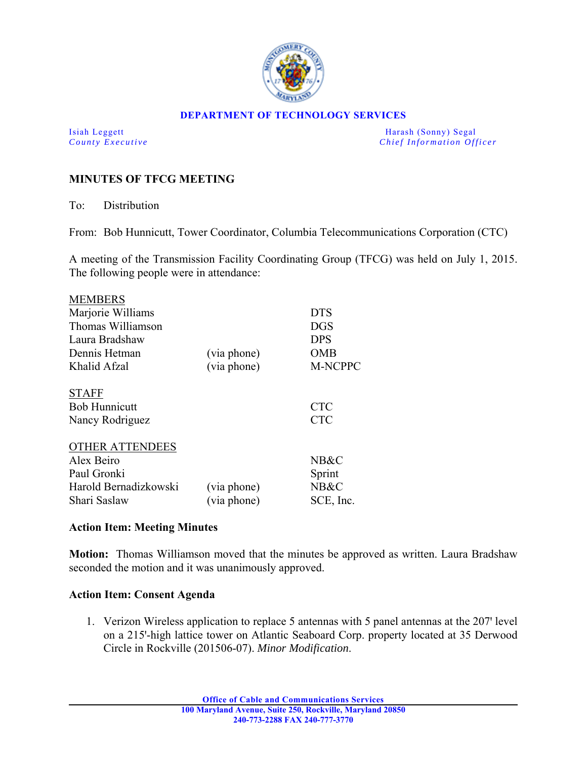

#### **DEPARTMENT OF TECHNOLOGY SERVICES**

Isiah Leggett Harash (Sonny) Segal *County Executive* **Countries and** *Chief Information Officer Chief Information Officer* 

# **MINUTES OF TFCG MEETING**

To: Distribution

From: Bob Hunnicutt, Tower Coordinator, Columbia Telecommunications Corporation (CTC)

A meeting of the Transmission Facility Coordinating Group (TFCG) was held on July 1, 2015. The following people were in attendance:

|             | <b>DTS</b>     |
|-------------|----------------|
|             | <b>DGS</b>     |
|             | <b>DPS</b>     |
| (via phone) | <b>OMB</b>     |
| (via phone) | <b>M-NCPPC</b> |
|             |                |
|             | <b>CTC</b>     |
|             | <b>CTC</b>     |
|             |                |
|             | NB&C           |
|             | Sprint         |
| (via phone) | NB&C           |
| (via phone) | SCE, Inc.      |
|             |                |

### **Action Item: Meeting Minutes**

**Motion:** Thomas Williamson moved that the minutes be approved as written. Laura Bradshaw seconded the motion and it was unanimously approved.

### **Action Item: Consent Agenda**

1. Verizon Wireless application to replace 5 antennas with 5 panel antennas at the 207 level on a 215'-high lattice tower on Atlantic Seaboard Corp. property located at 35 Derwood Circle in Rockville (201506-07). *Minor Modification*.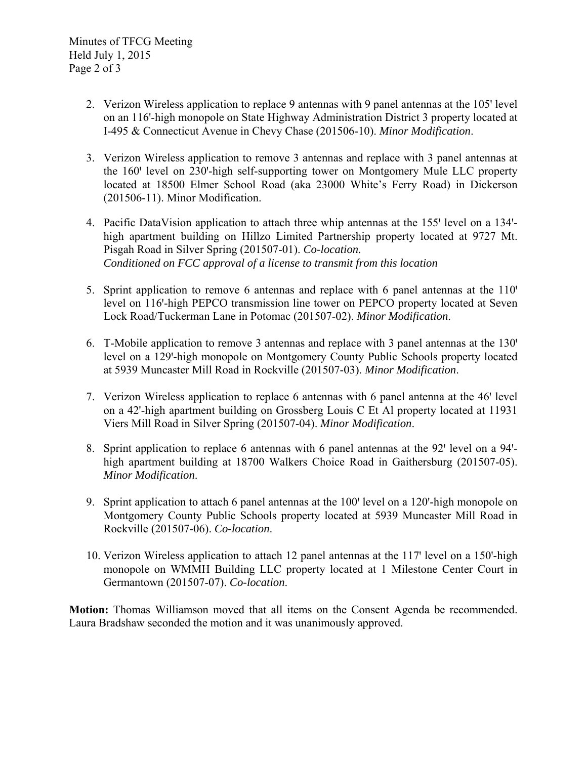- 2. Verizon Wireless application to replace 9 antennas with 9 panel antennas at the 105' level on an 116'-high monopole on State Highway Administration District 3 property located at I-495 & Connecticut Avenue in Chevy Chase (201506-10). *Minor Modification*.
- 3. Verizon Wireless application to remove 3 antennas and replace with 3 panel antennas at the 160' level on 230'-high self-supporting tower on Montgomery Mule LLC property located at 18500 Elmer School Road (aka 23000 White's Ferry Road) in Dickerson (201506-11). Minor Modification.
- 4. Pacific DataVision application to attach three whip antennas at the 155' level on a 134'high apartment building on Hillzo Limited Partnership property located at 9727 Mt. Pisgah Road in Silver Spring (201507-01). *Co-location. Conditioned on FCC approval of a license to transmit from this location*
- 5. Sprint application to remove 6 antennas and replace with 6 panel antennas at the 110<sup>'</sup> level on 116'-high PEPCO transmission line tower on PEPCO property located at Seven Lock Road/Tuckerman Lane in Potomac (201507-02). *Minor Modification*.
- 6. T-Mobile application to remove 3 antennas and replace with 3 panel antennas at the 130' level on a 129'-high monopole on Montgomery County Public Schools property located at 5939 Muncaster Mill Road in Rockville (201507-03). *Minor Modification*.
- 7. Verizon Wireless application to replace 6 antennas with 6 panel antenna at the 46' level on a 42ꞌ-high apartment building on Grossberg Louis C Et Al property located at 11931 Viers Mill Road in Silver Spring (201507-04). *Minor Modification*.
- 8. Sprint application to replace 6 antennas with 6 panel antennas at the 92' level on a 94'high apartment building at 18700 Walkers Choice Road in Gaithersburg (201507-05). *Minor Modification*.
- 9. Sprint application to attach 6 panel antennas at the 100' level on a 120'-high monopole on Montgomery County Public Schools property located at 5939 Muncaster Mill Road in Rockville (201507-06). *Co-location*.
- 10. Verizon Wireless application to attach 12 panel antennas at the 117 level on a 150-high monopole on WMMH Building LLC property located at 1 Milestone Center Court in Germantown (201507-07). *Co-location*.

**Motion:** Thomas Williamson moved that all items on the Consent Agenda be recommended. Laura Bradshaw seconded the motion and it was unanimously approved.